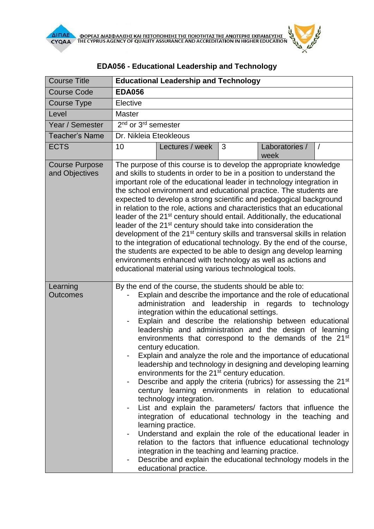| <b>Course Title</b>                     | <b>Educational Leadership and Technology</b>                                                                                                                                                                                                                                                                                                                                                                                                                                                                                                                                                                                                                                                                                                                                                                                                                                                                                                                                                                                                                                                                                                                                                                                                                              |
|-----------------------------------------|---------------------------------------------------------------------------------------------------------------------------------------------------------------------------------------------------------------------------------------------------------------------------------------------------------------------------------------------------------------------------------------------------------------------------------------------------------------------------------------------------------------------------------------------------------------------------------------------------------------------------------------------------------------------------------------------------------------------------------------------------------------------------------------------------------------------------------------------------------------------------------------------------------------------------------------------------------------------------------------------------------------------------------------------------------------------------------------------------------------------------------------------------------------------------------------------------------------------------------------------------------------------------|
| <b>Course Code</b>                      | <b>EDA056</b>                                                                                                                                                                                                                                                                                                                                                                                                                                                                                                                                                                                                                                                                                                                                                                                                                                                                                                                                                                                                                                                                                                                                                                                                                                                             |
| <b>Course Type</b>                      | Elective                                                                                                                                                                                                                                                                                                                                                                                                                                                                                                                                                                                                                                                                                                                                                                                                                                                                                                                                                                                                                                                                                                                                                                                                                                                                  |
| Level                                   | <b>Master</b>                                                                                                                                                                                                                                                                                                                                                                                                                                                                                                                                                                                                                                                                                                                                                                                                                                                                                                                                                                                                                                                                                                                                                                                                                                                             |
| Year / Semester                         | $\overline{2^{nd}}$ or 3 <sup>rd</sup> semester                                                                                                                                                                                                                                                                                                                                                                                                                                                                                                                                                                                                                                                                                                                                                                                                                                                                                                                                                                                                                                                                                                                                                                                                                           |
| <b>Teacher's Name</b>                   | Dr. Nikleia Eteokleous                                                                                                                                                                                                                                                                                                                                                                                                                                                                                                                                                                                                                                                                                                                                                                                                                                                                                                                                                                                                                                                                                                                                                                                                                                                    |
| <b>ECTS</b>                             | 10<br>3<br>Lectures / week<br>Laboratories /<br>$\sqrt{2}$<br>week                                                                                                                                                                                                                                                                                                                                                                                                                                                                                                                                                                                                                                                                                                                                                                                                                                                                                                                                                                                                                                                                                                                                                                                                        |
| <b>Course Purpose</b><br>and Objectives | The purpose of this course is to develop the appropriate knowledge<br>and skills to students in order to be in a position to understand the<br>important role of the educational leader in technology integration in<br>the school environment and educational practice. The students are<br>expected to develop a strong scientific and pedagogical background<br>in relation to the role, actions and characteristics that an educational<br>leader of the 21 <sup>st</sup> century should entail. Additionally, the educational<br>leader of the 21 <sup>st</sup> century should take into consideration the<br>development of the 21 <sup>st</sup> century skills and transversal skills in relation<br>to the integration of educational technology. By the end of the course,<br>the students are expected to be able to design ang develop learning<br>environments enhanced with technology as well as actions and<br>educational material using various technological tools.                                                                                                                                                                                                                                                                                     |
| Learning<br><b>Outcomes</b>             | By the end of the course, the students should be able to:<br>Explain and describe the importance and the role of educational<br>administration and leadership in regards to technology<br>integration within the educational settings.<br>Explain and describe the relationship between educational<br>leadership and administration and the design of learning<br>environments that correspond to the demands of the 21st<br>century education.<br>Explain and analyze the role and the importance of educational<br>leadership and technology in designing and developing learning<br>environments for the 21 <sup>st</sup> century education.<br>Describe and apply the criteria (rubrics) for assessing the 21 <sup>st</sup><br>-<br>century learning environments in relation to educational<br>technology integration.<br>List and explain the parameters/ factors that influence the<br>-<br>integration of educational technology in the teaching and<br>learning practice.<br>Understand and explain the role of the educational leader in<br>-<br>relation to the factors that influence educational technology<br>integration in the teaching and learning practice.<br>Describe and explain the educational technology models in the<br>educational practice. |

## **EDΑ056 - Educational Leadership and Technology**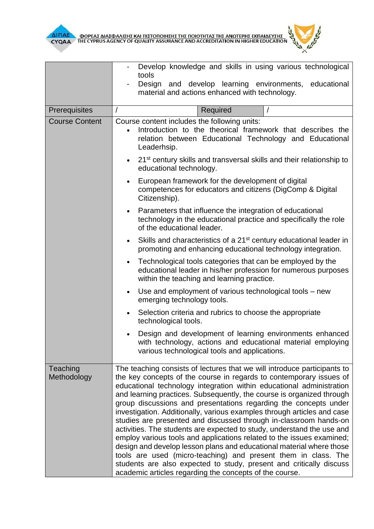



|                         | Develop knowledge and skills in using various technological<br>tools                                                                                                                                                                                                                                                                                                                                                                                                                                                                                                                                                                                                                                                                                                                                                                                                                                                                                |
|-------------------------|-----------------------------------------------------------------------------------------------------------------------------------------------------------------------------------------------------------------------------------------------------------------------------------------------------------------------------------------------------------------------------------------------------------------------------------------------------------------------------------------------------------------------------------------------------------------------------------------------------------------------------------------------------------------------------------------------------------------------------------------------------------------------------------------------------------------------------------------------------------------------------------------------------------------------------------------------------|
|                         | Design and develop learning environments, educational<br>material and actions enhanced with technology.                                                                                                                                                                                                                                                                                                                                                                                                                                                                                                                                                                                                                                                                                                                                                                                                                                             |
| Prerequisites           | Required<br>$\prime$<br>$\prime$                                                                                                                                                                                                                                                                                                                                                                                                                                                                                                                                                                                                                                                                                                                                                                                                                                                                                                                    |
|                         | Course content includes the following units:                                                                                                                                                                                                                                                                                                                                                                                                                                                                                                                                                                                                                                                                                                                                                                                                                                                                                                        |
| <b>Course Content</b>   | Introduction to the theorical framework that describes the<br>relation between Educational Technology and Educational<br>Leaderhsip.                                                                                                                                                                                                                                                                                                                                                                                                                                                                                                                                                                                                                                                                                                                                                                                                                |
|                         | 21 <sup>st</sup> century skills and transversal skills and their relationship to<br>$\bullet$<br>educational technology.                                                                                                                                                                                                                                                                                                                                                                                                                                                                                                                                                                                                                                                                                                                                                                                                                            |
|                         | European framework for the development of digital<br>competences for educators and citizens (DigComp & Digital<br>Citizenship).                                                                                                                                                                                                                                                                                                                                                                                                                                                                                                                                                                                                                                                                                                                                                                                                                     |
|                         | Parameters that influence the integration of educational<br>technology in the educational practice and specifically the role<br>of the educational leader.                                                                                                                                                                                                                                                                                                                                                                                                                                                                                                                                                                                                                                                                                                                                                                                          |
|                         | Skills and characteristics of a 21 <sup>st</sup> century educational leader in<br>$\bullet$<br>promoting and enhancing educational technology integration.                                                                                                                                                                                                                                                                                                                                                                                                                                                                                                                                                                                                                                                                                                                                                                                          |
|                         | Technological tools categories that can be employed by the<br>$\bullet$<br>educational leader in his/her profession for numerous purposes<br>within the teaching and learning practice.                                                                                                                                                                                                                                                                                                                                                                                                                                                                                                                                                                                                                                                                                                                                                             |
|                         | Use and employment of various technological tools – new<br>$\bullet$<br>emerging technology tools.                                                                                                                                                                                                                                                                                                                                                                                                                                                                                                                                                                                                                                                                                                                                                                                                                                                  |
|                         | Selection criteria and rubrics to choose the appropriate<br>$\bullet$<br>technological tools.                                                                                                                                                                                                                                                                                                                                                                                                                                                                                                                                                                                                                                                                                                                                                                                                                                                       |
|                         | Design and development of learning environments enhanced<br>with technology, actions and educational material employing<br>various technological tools and applications.                                                                                                                                                                                                                                                                                                                                                                                                                                                                                                                                                                                                                                                                                                                                                                            |
| Teaching<br>Methodology | The teaching consists of lectures that we will introduce participants to<br>the key concepts of the course in regards to contemporary issues of<br>educational technology integration within educational administration<br>and learning practices. Subsequently, the course is organized through<br>group discussions and presentations regarding the concepts under<br>investigation. Additionally, various examples through articles and case<br>studies are presented and discussed through in-classroom hands-on<br>activities. The students are expected to study, understand the use and<br>employ various tools and applications related to the issues examined;<br>design and develop lesson plans and educational material where those<br>tools are used (micro-teaching) and present them in class. The<br>students are also expected to study, present and critically discuss<br>academic articles regarding the concepts of the course. |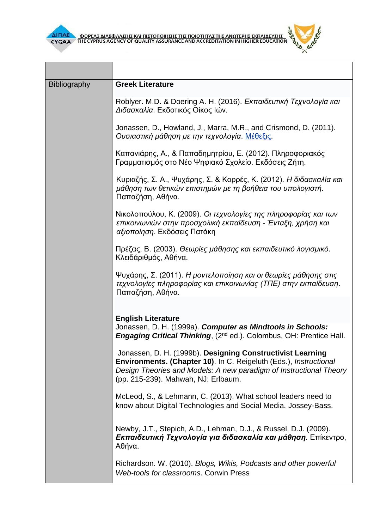

 $\overline{\phantom{0}}$ 



| <b>Bibliography</b> | <b>Greek Literature</b>                                                                                                                                                                                                                                    |
|---------------------|------------------------------------------------------------------------------------------------------------------------------------------------------------------------------------------------------------------------------------------------------------|
|                     | Roblyer. M.D. & Doering A. H. (2016). Εκπαιδευτική Τεχνολογία και<br>Διδασκαλία. Εκδοτικός Οίκος Ιών.                                                                                                                                                      |
|                     | Jonassen, D., Howland, J., Marra, M.R., and Crismond, D. (2011).<br>Ουσιαστική μάθηση με την τεχνολογία. Μέθεξις.                                                                                                                                          |
|                     | Καπανιάρης, Α., & Παπαδημητρίου, Ε. (2012). Πληροφοριακός<br>Γραμματισμός στο Νέο Ψηφιακό Σχολείο. Εκδόσεις Ζήτη.                                                                                                                                          |
|                     | Κυριαζής, Σ. Α., Ψυχάρης, Σ. & Κορρές, Κ. (2012). Η διδασκαλία και<br>μάθηση των θετικών επιστημών με τη βοήθεια του υπολογιστή.<br>Παπαζήση, Αθήνα.                                                                                                       |
|                     | Νικολοπούλου, Κ. (2009). Οι τεχνολογίες της πληροφορίας και των<br>επικοινωνιών στην προσχολική εκπαίδευση - Ένταξη, χρήση και<br>αξιοποίηση. Εκδόσεις Πατάκη                                                                                              |
|                     | Πρέζας, Β. (2003). Θεωρίες μάθησης και εκπαιδευτικό λογισμικό.<br>Κλειδάριθμός, Αθήνα.                                                                                                                                                                     |
|                     | Ψυχάρης, Σ. (2011). Η μοντελοποίηση και οι θεωρίες μάθησης στις<br>τεχνολογίες πληροφορίας και επικοινωνίας (ΤΠΕ) στην εκπαίδευση.<br>Παπαζήση, Αθήνα.                                                                                                     |
|                     |                                                                                                                                                                                                                                                            |
|                     | <b>English Literature</b><br>Jonassen, D. H. (1999a). Computer as Mindtools in Schools:<br><b>Engaging Critical Thinking, (2nd ed.). Colombus, OH: Prentice Hall.</b>                                                                                      |
|                     | Jonassen, D. H. (1999b). Designing Constructivist Learning<br><b>Environments. (Chapter 10).</b> In C. Reigeluth (Eds.), <i>Instructional</i><br>Design Theories and Models: A new paradigm of Instructional Theory<br>(pp. 215-239). Mahwah, NJ: Erlbaum. |
|                     | McLeod, S., & Lehmann, C. (2013). What school leaders need to<br>know about Digital Technologies and Social Media. Jossey-Bass.                                                                                                                            |
|                     | Newby, J.T., Stepich, A.D., Lehman, D.J., & Russel, D.J. (2009).<br>Εκπαιδευτική Τεχνολογία για διδασκαλία και μάθηση. Επίκεντρο,<br>Αθήνα.                                                                                                                |
|                     | Richardson. W. (2010). Blogs, Wikis, Podcasts and other powerful<br>Web-tools for classrooms. Corwin Press                                                                                                                                                 |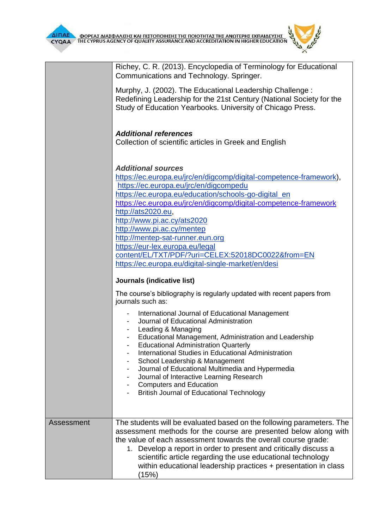**CONTRACTOR** 

|            | Richey, C. R. (2013). Encyclopedia of Terminology for Educational<br>Communications and Technology. Springer.                                                                                                                                                                                                                                                                                                                                                                                                                              |
|------------|--------------------------------------------------------------------------------------------------------------------------------------------------------------------------------------------------------------------------------------------------------------------------------------------------------------------------------------------------------------------------------------------------------------------------------------------------------------------------------------------------------------------------------------------|
|            | Murphy, J. (2002). The Educational Leadership Challenge:<br>Redefining Leadership for the 21st Century (National Society for the<br>Study of Education Yearbooks. University of Chicago Press.                                                                                                                                                                                                                                                                                                                                             |
|            | <b>Additional references</b><br>Collection of scientific articles in Greek and English                                                                                                                                                                                                                                                                                                                                                                                                                                                     |
|            | <b>Additional sources</b><br>https://ec.europa.eu/jrc/en/digcomp/digital-competence-framework),<br>https://ec.europa.eu/jrc/en/digcompedu<br>https://ec.europa.eu/education/schools-go-digital_en<br>https://ec.europa.eu/jrc/en/digcomp/digital-competence-framework<br>http://ats2020.eu,<br>http://www.pi.ac.cy/ats2020<br>http://www.pi.ac.cy/mentep<br>http://mentep-sat-runner.eun.org<br>https://eur-lex.europa.eu/legal<br>content/EL/TXT/PDF/?uri=CELEX:52018DC0022&from=EN<br>https://ec.europa.eu/digital-single-market/en/desi |
|            | Journals (indicative list)                                                                                                                                                                                                                                                                                                                                                                                                                                                                                                                 |
|            | The course's bibliography is regularly updated with recent papers from<br>journals such as:                                                                                                                                                                                                                                                                                                                                                                                                                                                |
|            | International Journal of Educational Management<br>Journal of Educational Administration<br>Leading & Managing<br>Educational Management, Administration and Leadership<br><b>Educational Administration Quarterly</b><br>International Studies in Educational Administration<br>School Leadership & Management<br>-<br>Journal of Educational Multimedia and Hypermedia<br>Journal of Interactive Learning Research<br><b>Computers and Education</b><br><b>British Journal of Educational Technology</b>                                 |
| Assessment | The students will be evaluated based on the following parameters. The<br>assessment methods for the course are presented below along with<br>the value of each assessment towards the overall course grade:<br>1. Develop a report in order to present and critically discuss a<br>scientific article regarding the use educational technology<br>within educational leadership practices + presentation in class<br>(15%)                                                                                                                 |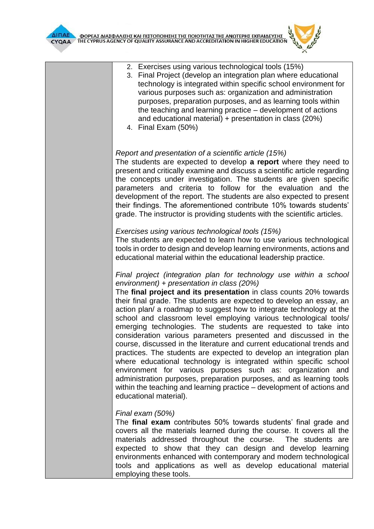

- 2. Exercises using various technological tools (15%)
- 3. Final Project (develop an integration plan where educational technology is integrated within specific school environment for various purposes such as: organization and administration purposes, preparation purposes, and as learning tools within the teaching and learning practice – development of actions and educational material) + presentation in class (20%)
- 4. Final Exam (50%)

## *Report and presentation of a scientific article (15%)*

The students are expected to develop **a report** where they need to present and critically examine and discuss a scientific article regarding the concepts under investigation. The students are given specific parameters and criteria to follow for the evaluation and the development of the report. The students are also expected to present their findings. The aforementioned contribute 10% towards students' grade. The instructor is providing students with the scientific articles.

## *Exercises using various technological tools (15%)*

The students are expected to learn how to use various technological tools in order to design and develop learning environments, actions and educational material within the educational leadership practice.

*Final project (integration plan for technology use within a school environment) + presentation in class (20%)*

The **final project and its presentation** in class counts 20% towards their final grade. The students are expected to develop an essay, an action plan/ a roadmap to suggest how to integrate technology at the school and classroom level employing various technological tools/ emerging technologies. The students are requested to take into consideration various parameters presented and discussed in the course, discussed in the literature and current educational trends and practices. The students are expected to develop an integration plan where educational technology is integrated within specific school environment for various purposes such as: organization and administration purposes, preparation purposes, and as learning tools within the teaching and learning practice – development of actions and educational material).

## *Final exam (50%)*

The **final exam** contributes 50% towards students' final grade and covers all the materials learned during the course. It covers all the materials addressed throughout the course. The students are expected to show that they can design and develop learning environments enhanced with contemporary and modern technological tools and applications as well as develop educational material employing these tools.